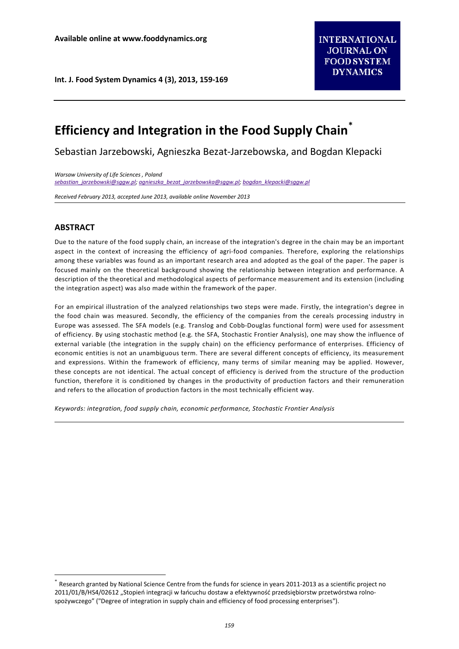# **Efficiency and Integration in the Food Supply Chain[\\*](#page-0-0)**

Sebastian Jarzebowski, Agnieszka Bezat-Jarzebowska, and Bogdan Klepacki

*Warsaw University of Life Sciences , Poland [sebastian\\_jarzebowski@sggw.pl;](mailto:sebastian_jarzebowski@sggw.pl) [agnieszka\\_bezat\\_jarzebowska@sggw.pl;](mailto:agnieszka_bezat_jarzebowska@sggw.pl) [bogdan\\_klepacki@sggw.pl](mailto:bogdan_klepacki@sggw.pl)*

*Received February 2013, accepted June 2013, available online November 2013*

# **ABSTRACT**

Due to the nature of the food supply chain, an increase of the integration's degree in the chain may be an important aspect in the context of increasing the efficiency of agri-food companies. Therefore, exploring the relationships among these variables was found as an important research area and adopted as the goal of the paper. The paper is focused mainly on the theoretical background showing the relationship between integration and performance. A description of the theoretical and methodological aspects of performance measurement and its extension (including the integration aspect) was also made within the framework of the paper.

For an empirical illustration of the analyzed relationships two steps were made. Firstly, the integration's degree in the food chain was measured. Secondly, the efficiency of the companies from the cereals processing industry in Europe was assessed. The SFA models (e.g. Translog and Cobb-Douglas functional form) were used for assessment of efficiency. By using stochastic method (e.g. the SFA, Stochastic Frontier Analysis), one may show the influence of external variable (the integration in the supply chain) on the efficiency performance of enterprises. Efficiency of economic entities is not an unambiguous term. There are several different concepts of efficiency, its measurement and expressions. Within the framework of efficiency, many terms of similar meaning may be applied. However, these concepts are not identical. The actual concept of efficiency is derived from the structure of the production function, therefore it is conditioned by changes in the productivity of production factors and their remuneration and refers to the allocation of production factors in the most technically efficient way.

*Keywords: integration, food supply chain, economic performance, Stochastic Frontier Analysis*

<span id="page-0-0"></span>Research granted by National Science Centre from the funds for science in years 2011-2013 as a scientific project no 2011/01/B/HS4/02612 "Stopień integracji w łańcuchu dostaw a efektywność przedsiębiorstw przetwórstwa rolnospożywczego" ("Degree of integration in supply chain and efficiency of food processing enterprises").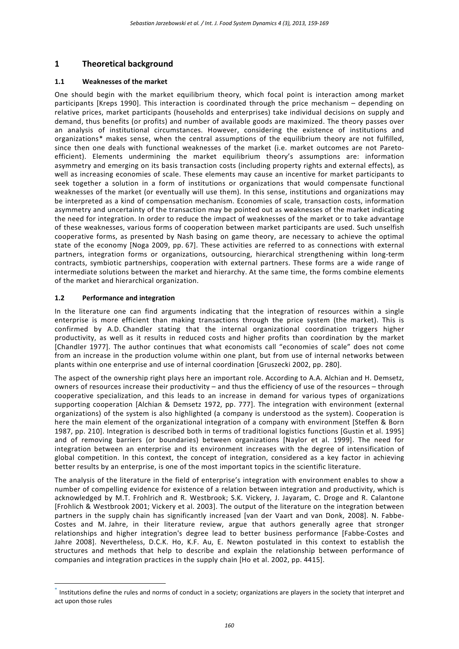# **1 Theoretical background**

## **1.1 Weaknesses of the market**

One should begin with the market equilibrium theory, which focal point is interaction among market participants [Kreps 1990]. This interaction is coordinated through the price mechanism – depending on relative prices, market participants (households and enterprises) take individual decisions on supply and demand, thus benefits (or profits) and number of available goods are maximized. The theory passes over an analysis of institutional circumstances. However, considering the existence of institutions and organizations[\\*](#page-1-0) makes sense, when the central assumptions of the equilibrium theory are not fulfilled, since then one deals with functional weaknesses of the market (i.e. market outcomes are not Paretoefficient). Elements undermining the market equilibrium theory's assumptions are: information asymmetry and emerging on its basis transaction costs (including property rights and external effects), as well as increasing economies of scale. These elements may cause an incentive for market participants to seek together a solution in a form of institutions or organizations that would compensate functional weaknesses of the market (or eventually will use them). In this sense, institutions and organizations may be interpreted as a kind of compensation mechanism. Economies of scale, transaction costs, information asymmetry and uncertainty of the transaction may be pointed out as weaknesses of the market indicating the need for integration. In order to reduce the impact of weaknesses of the market or to take advantage of these weaknesses, various forms of cooperation between market participants are used. Such unselfish cooperative forms, as presented by Nash basing on game theory, are necessary to achieve the optimal state of the economy [Noga 2009, pp. 67]. These activities are referred to as connections with external partners, integration forms or organizations, outsourcing, hierarchical strengthening within long-term contracts, symbiotic partnerships, cooperation with external partners. These forms are a wide range of intermediate solutions between the market and hierarchy. At the same time, the forms combine elements of the market and hierarchical organization.

## **1.2 Performance and integration**

In the literature one can find arguments indicating that the integration of resources within a single enterprise is more efficient than making transactions through the price system (the market). This is confirmed by A.D. Chandler stating that the internal organizational coordination triggers higher productivity, as well as it results in reduced costs and higher profits than coordination by the market [Chandler 1977]. The author continues that what economists call "economies of scale" does not come from an increase in the production volume within one plant, but from use of internal networks between plants within one enterprise and use of internal coordination [Gruszecki 2002, pp. 280].

The aspect of the ownership right plays here an important role. According to A.A. Alchian and H. Demsetz, owners of resources increase their productivity – and thus the efficiency of use of the resources – through cooperative specialization, and this leads to an increase in demand for various types of organizations supporting cooperation [Alchian & Demsetz 1972, pp. 777]. The integration with environment (external organizations) of the system is also highlighted (a company is understood as the system). Cooperation is here the main element of the organizational integration of a company with environment [Steffen & Born 1987, pp. 210]. Integration is described both in terms of traditional logistics functions [Gustin et al. 1995] and of removing barriers (or boundaries) between organizations [Naylor et al. 1999]. The need for integration between an enterprise and its environment increases with the degree of intensification of global competition. In this context, the concept of integration, considered as a key factor in achieving better results by an enterprise, is one of the most important topics in the scientific literature.

The analysis of the literature in the field of enterprise's integration with environment enables to show a number of compelling evidence for existence of a relation between integration and productivity, which is acknowledged by M.T. Frohlrich and R. Westbrook; S.K. Vickery, J. Jayaram, C. Droge and R. Calantone [Frohlich & Westbrook 2001; Vickery et al. 2003]. The output of the literature on the integration between partners in the supply chain has significantly increased [van der Vaart and van Donk, 2008]. N. Fabbe-Costes and M. Jahre, in their literature review, argue that authors generally agree that stronger relationships and higher integration's degree lead to better business performance [Fabbe-Costes and Jahre 2008]. Nevertheless, D.C.K. Ho, K.F. Au, E. Newton postulated in this context to establish the structures and methods that help to describe and explain the relationship between performance of companies and integration practices in the supply chain [Ho et al. 2002, pp. 4415].

<span id="page-1-0"></span>Institutions define the rules and norms of conduct in a society; organizations are players in the society that interpret and act upon those rules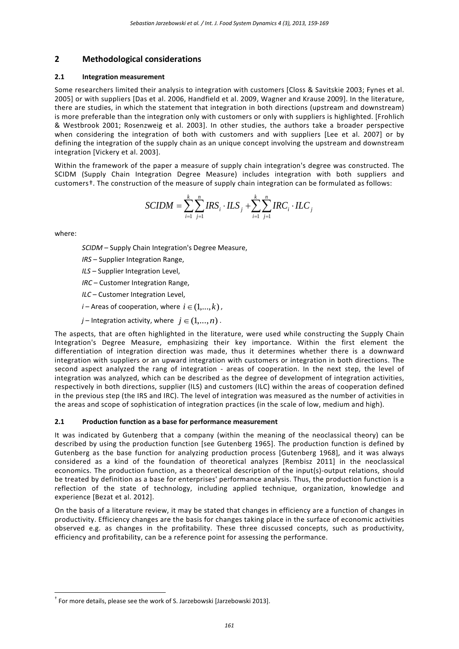# **2 Methodological considerations**

### **2.1 Integration measurement**

Some researchers limited their analysis to integration with customers [Closs & Savitskie 2003; Fynes et al. 2005] or with suppliers [Das et al. 2006, Handfield et al. 2009, Wagner and Krause 2009]. In the literature, there are studies, in which the statement that integration in both directions (upstream and downstream) is more preferable than the integration only with customers or only with suppliers is highlighted. [Frohlich & Westbrook 2001; Rosenzweig et al. 2003]. In other studies, the authors take a broader perspective when considering the integration of both with customers and with suppliers [Lee et al. 2007] or by defining the integration of the supply chain as an unique concept involving the upstream and downstream integration [Vickery et al. 2003].

Within the framework of the paper a measure of supply chain integration's degree was constructed. The SCIDM (Supply Chain Integration Degree Measure) includes integration with both suppliers and customers[†.](#page-2-0) The construction of the measure of supply chain integration can be formulated as follows:

$$
SCIDM = \sum_{i=1}^{k} \sum_{j=1}^{n} IRS_i \cdot ILS_j + \sum_{i=1}^{k} \sum_{j=1}^{n} IRC_i \cdot ILC_j
$$

where:

*SCIDM* – Supply Chain Integration's Degree Measure,

- *IRS* Supplier Integration Range,
- *ILS* Supplier Integration Level,
- *IRC* Customer Integration Range,
- *ILC* Customer Integration Level,
- *i* Areas of cooperation, where  $i \in (1,...,k)$ ,
- *j* Integration activity, where  $j \in (1,...,n)$ .

The aspects, that are often highlighted in the literature, were used while constructing the Supply Chain Integration's Degree Measure, emphasizing their key importance. Within the first element the differentiation of integration direction was made, thus it determines whether there is a downward integration with suppliers or an upward integration with customers or integration in both directions. The second aspect analyzed the rang of integration - areas of cooperation. In the next step, the level of integration was analyzed, which can be described as the degree of development of integration activities, respectively in both directions, supplier (ILS) and customers (ILC) within the areas of cooperation defined in the previous step (the IRS and IRC). The level of integration was measured as the number of activities in the areas and scope of sophistication of integration practices (in the scale of low, medium and high).

### **2.1 Production function as a base for performance measurement**

It was indicated by Gutenberg that a company (within the meaning of the neoclassical theory) can be described by using the production function [see Gutenberg 1965]. The production function is defined by Gutenberg as the base function for analyzing production process [Gutenberg 1968], and it was always considered as a kind of the foundation of theoretical analyzes [Rembisz 2011] in the neoclassical economics. The production function, as a theoretical description of the input(s)-output relations, should be treated by definition as a base for enterprises' performance analysis. Thus, the production function is a reflection of the state of technology, including applied technique, organization, knowledge and experience [Bezat et al. 2012].

On the basis of a literature review, it may be stated that changes in efficiency are a function of changes in productivity. Efficiency changes are the basis for changes taking place in the surface of economic activities observed e.g. as changes in the profitability. These three discussed concepts, such as productivity, efficiency and profitability, can be a reference point for assessing the performance.

<span id="page-2-0"></span>† For more details, please see the work of S. Jarzebowski [Jarzebowski 2013].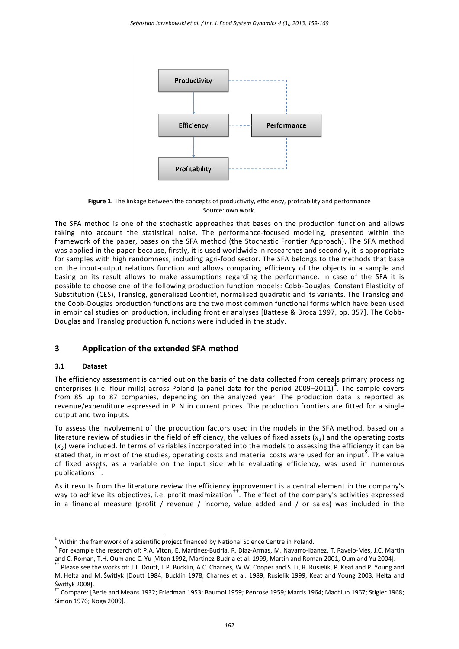

**Figure 1.** The linkage between the concepts of productivity, efficiency, profitability and performance Source: own work.

The SFA method is one of the stochastic approaches that bases on the production function and allows taking into account the statistical noise. The performance-focused modeling, presented within the framework of the paper, bases on the SFA method (the Stochastic Frontier Approach). The SFA method was applied in the paper because, firstly, it is used worldwide in researches and secondly, it is appropriate for samples with high randomness, including agri-food sector. The SFA belongs to the methods that base on the input-output relations function and allows comparing efficiency of the objects in a sample and basing on its result allows to make assumptions regarding the performance. In case of the SFA it is possible to choose one of the following production function models: Cobb-Douglas, Constant Elasticity of Substitution (CES), Translog, generalised Leontief, normalised quadratic and its variants. The Translog and the Cobb-Douglas production functions are the two most common functional forms which have been used in empirical studies on production, including frontier analyses [Battese & Broca 1997, pp. 357]. The Cobb-Douglas and Translog production functions were included in the study.

## **3 Application of the extended SFA method**

### **3.1 Dataset**

The efficiency assessment is carried out on the basis of the data collected from cereals primary processing enterprises (i.e. flour mills) across Poland (a panel data for the period 2009–2011)<sup>†</sup>. The sample covers from 85 up to 87 companies, depending on the analyzed year. The production data is reported as revenue/expenditure expressed in PLN in current prices. The production frontiers are fitted for a single output and two inputs.

To assess the involvement of the production factors used in the models in the SFA method, based on a literature review of studies in the field of efficiency, the values of fixed assets (*x <sup>1</sup>*) and the operating costs (*x <sup>2</sup>*) were included. In terms of variables incorporated into the models to assessing the efficiency it can be stated that, in most of the studies, operating costs and material costs ware used for an input<sup>[§](#page-3-1)</sup>. The value of fixed assets, as a variable on the input side while evaluating efficiency, was used in numerous  $p$ ublications $\dddot{\phantom{a}}$ .

As it results from the literature review the efficiency improvement is a central element in the company's way to achieve its objectives, i.e. profit maximization[††](#page-3-3). The effect of the company's activities expressed in a financial measure (profit / revenue / income, value added and / or sales) was included in the

<span id="page-3-0"></span>Within the framework of a scientific project financed by National Science Centre in Poland.

<span id="page-3-1"></span><sup>§</sup> For example the research of: P.A. Viton, E. Martinez-Budria, R. Diaz-Armas, M. Navarro-Ibanez, T. Ravelo-Mes, J.C. Martin and C. Roman, T.H. Oum and C. Yu [Viton 1992, Martinez-Budria et al. 1999, Martin and Roman 2001, Oum and Yu 2004].<br>\*\* Please see the works of: J.T. Doutt, L.P. Bucklin, A.C. Charnes, W.W. Cooper and S. Li, R. Rusielik, P.

<span id="page-3-2"></span>M. Helta and M. Świtłyk [Doutt 1984, Bucklin 1978, Charnes et al. 1989, Rusielik 1999, Keat and Young 2003, Helta and Świtłyk 2008].

<span id="page-3-3"></span><sup>††</sup> Compare: [Berle and Means 1932; Friedman 1953; Baumol 1959; Penrose 1959; Marris 1964; Machlup 1967; Stigler 1968; Simon 1976; Noga 2009].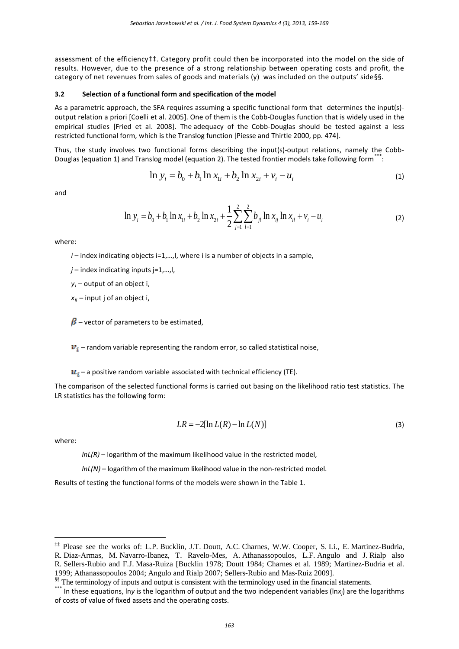assessment of the efficiency##. Category profit could then be incorporated into the model on the side of results. However, due to the presence of a strong relationship between operating costs and profit, the category of net revenues from sales of goods and materials (y) was included on the outputs' side[§§](#page-4-1).

#### **3.2 Selection of a functional form and specification of the model**

As a parametric approach, the SFA requires assuming a specific functional form that determines the input(s) output relation a priori [Coelli et al. 2005]. One of them is the Cobb-Douglas function that is widely used in the empirical studies [Fried et al. 2008]. The adequacy of the Cobb-Douglas should be tested against a less restricted functional form, which is the Translog function [Piesse and Thirtle 2000, pp. 474].

Thus, the study involves two functional forms describing the input(s)-output relations, namely the Cobb-Douglas (equation 1) and Translog model (equation 2). The tested frontier models take following form<sup>[\\*\\*\\*](#page-4-2)</sup>:

$$
\ln y_i = b_0 + b_1 \ln x_{1i} + b_2 \ln x_{2i} + v_i - u_i
$$
\n(1)

and

$$
\ln y_i = b_0 + b_1 \ln x_{1i} + b_2 \ln x_{2i} + \frac{1}{2} \sum_{j=1}^{2} \sum_{l=1}^{2} b_{jl} \ln x_{ij} \ln x_{il} + v_i - u_i
$$
 (2)

where:

*i* – index indicating objects i=1,..., l, where i is a number of objects in a sample,

*j* – index indicating inputs j=1,…,l,

*yi* – output of an object i,

 $x_{ij}$  – input j of an object i,

 $\beta$  – vector of parameters to be estimated,

 $\boldsymbol{v}_i$  – random variable representing the random error, so called statistical noise,

 $u_i$  – a positive random variable associated with technical efficiency (TE).

The comparison of the selected functional forms is carried out basing on the likelihood ratio test statistics. The LR statistics has the following form:

$$
LR = -2[\ln L(R) - \ln L(N)]\tag{3}
$$

where:

*lnL(R)* – logarithm of the maximum likelihood value in the restricted model,

*lnL(N)* – logarithm of the maximum likelihood value in the non-restricted model.

Results of testing the functional forms of the models were shown in the Table 1.

<span id="page-4-0"></span> <sup>‡‡</sup> Please see the works of: L.P. Bucklin, J.T. Doutt, A.C. Charnes, W.W. Cooper, S. Li., E. Martinez-Budria, R. Diaz-Armas, M. Navarro-Ibanez, T. Ravelo-Mes, A. Athanassopoulos, L.F. Angulo and J. Rialp also R. Sellers-Rubio and F.J. Masa-Ruiza [Bucklin 1978; Doutt 1984; Charnes et al. 1989; Martinez-Budria et al. 1999; Athanassopoulos 2004; Angulo and Rialp 2007; Sellers-Rubio and Mas-Ruiz 2009].<br><sup>\$\$</sup> The terminology of inputs and output is consistent with the terminology used in the financial statements.<br>\*\*\* In these equations, l

<span id="page-4-1"></span>

<span id="page-4-2"></span>of costs of value of fixed assets and the operating costs.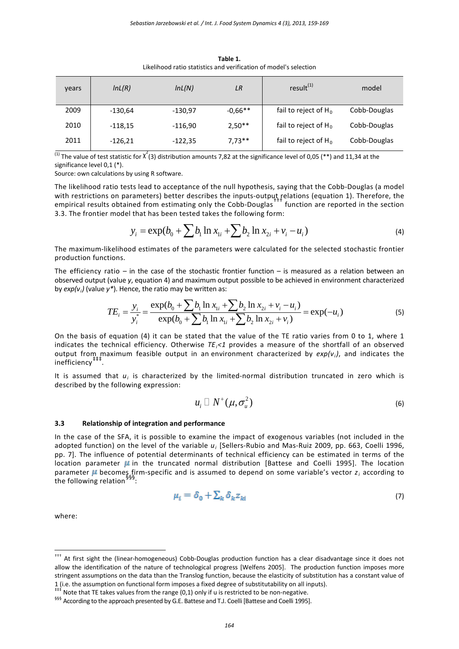| vears | InL(R)    | InL(N)    | LR        | $result^{(1)}$          | model        |  |
|-------|-----------|-----------|-----------|-------------------------|--------------|--|
| 2009  | $-130,64$ | $-130,97$ | $-0.66**$ | fail to reject of $H_0$ | Cobb-Douglas |  |
| 2010  | $-118,15$ | $-116,90$ | $2,50**$  | fail to reject of $H_0$ | Cobb-Douglas |  |
| 2011  | $-126,21$ | $-122,35$ | $7,73**$  | fail to reject of $H_0$ | Cobb-Douglas |  |

**Table 1.** Likelihood ratio statistics and verification of model's selection

<sup>(1)</sup> The value of test statistic for  $\chi^2(3)$  distribution amounts 7,82 at the significance level of 0,05 (\*\*) and 11,34 at the significance level 0,1 (\*).

Source: own calculations by using R software.

The likelihood ratio tests lead to acceptance of the null hypothesis, saying that the Cobb-Douglas (a model with restrictions on parameters) better describes the inputs-output relations (equation 1). Therefore, the<br>empirical results obtained from estimating only the Cobb-Douglas the function are reported in the section 3.3. The frontier model that has been tested takes the following form:

$$
y_i = \exp(b_0 + \sum b_1 \ln x_{1i} + \sum b_2 \ln x_{2i} + v_i - u_i)
$$
 (4)

The maximum-likelihood estimates of the parameters were calculated for the selected stochastic frontier production functions.

The efficiency ratio – in the case of the stochastic frontier function – is measured as a relation between an observed output (value *y*, equation 4) and maximum output possible to be achieved in environment characterized by *exp(vi)* (value *y\**). Hence, the ratio may be written as:

$$
TE_i = \frac{y_i}{y_i^*} = \frac{\exp(b_0 + \sum b_1 \ln x_{1i} + \sum b_2 \ln x_{2i} + v_i - u_i)}{\exp(b_0 + \sum b_1 \ln x_{1i} + \sum b_2 \ln x_{2i} + v_i)} = \exp(-u_i)
$$
\n(5)

On the basis of equation (4) it can be stated that the value of the TE ratio varies from 0 to 1, where 1 indicates the technical efficiency. Otherwise *TEi<1* provides a measure of the shortfall of an observed output from maximum feasible output in an environment characterized by *exp(vi)*, and indicates the inefficiency

It is assumed that *ui* is characterized by the limited-normal distribution truncated in zero which is described by the following expression:

$$
u_i \sqcup N^+(\mu, \sigma_u^2) \tag{6}
$$

#### **3.3 Relationship of integration and performance**

In the case of the SFA, it is possible to examine the impact of exogenous variables (not included in the adopted function) on the level of the variable *ui* [Sellers-Rubio and Mas-Ruiz 2009, pp. 663, Coelli 1996, pp. 7]. The influence of potential determinants of technical efficiency can be estimated in terms of the location parameter  $\mu$  in the truncated normal distribution [Battese and Coelli 1995]. The location parameter **µ** becomes firm-specific and is assumed to depend on some variable's vector  $z_i$  according to the following relation<sup>§</sup>

$$
\mu_{\tilde{i}} = \delta_0 + \sum_k \delta_k z_{ki} \tag{7}
$$

where:

<span id="page-5-0"></span>††† At first sight the (linear-homogeneous) Cobb-Douglas production function has a clear disadvantage since it does not allow the identification of the nature of technological progress [Welfens 2005]. The production function imposes more stringent assumptions on the data than the Translog function, because the elasticity of substitution has a constant value of 1 (i.e. the assumption on functional form imposes a fixed degree of substitutability on all inputs).

<span id="page-5-1"></span>Note that TE takes values from the range (0,1) only if u is restricted to be non-negative.

<span id="page-5-2"></span><sup>&</sup>lt;sup>§§§</sup> According to the approach presented by G.E. Battese and T.J. Coelli [Battese and Coelli 1995].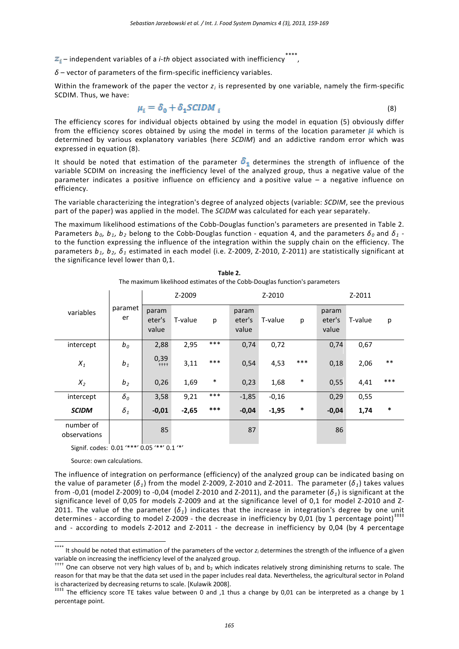- $\mathbb{Z}_{\bar{x}}$  independent variables of a *i-th* object associated with inefficiency
- *δ* vector of parameters of the firm-specific inefficiency variables.

Within the framework of the paper the vector  $z_i$  is represented by one variable, namely the firm-specific SCDIM. Thus, we have:

$$
\mu_{\bar{i}} = \delta_0 + \delta_1 SCIDM_{\bar{i}} \tag{8}
$$

The efficiency scores for individual objects obtained by using the model in equation (5) obviously differ from the efficiency scores obtained by using the model in terms of the location parameter  $\mu$  which is determined by various explanatory variables (here *SCDIM*) and an addictive random error which was expressed in equation (8).

It should be noted that estimation of the parameter  $\delta_1$  determines the strength of influence of the variable SCDIM on increasing the inefficiency level of the analyzed group, thus a negative value of the parameter indicates a positive influence on efficiency and a positive value – a negative influence on efficiency.

The variable characterizing the integration's degree of analyzed objects (variable: *SCDIM*, see the previous part of the paper) was applied in the model. The *SCIDM* was calculated for each year separately.

The maximum likelihood estimations of the Cobb-Douglas function's parameters are presented in Table 2. Parameters  $b_0$ ,  $b_1$ ,  $b_2$  belong to the Cobb-Douglas function - equation 4, and the parameters  $\delta_0$  and  $\delta_1$  to the function expressing the influence of the integration within the supply chain on the efficiency. The parameters *b1, b2, δ<sup>1</sup>* estimated in each model (i.e. Z-2009, Z-2010, Z-2011) are statistically significant at the significance level lower than 0,1.

|                           | paramet<br>er  | Z-2009                   |         | Z-2010 |                          |         | $Z - 2011$ |                          |         |        |
|---------------------------|----------------|--------------------------|---------|--------|--------------------------|---------|------------|--------------------------|---------|--------|
| variables                 |                | param<br>eter's<br>value | T-value | p      | param<br>eter's<br>value | T-value | p          | param<br>eter's<br>value | T-value | р      |
| intercept                 | $b_0$          | 2,88                     | 2,95    | $***$  | 0,74                     | 0,72    |            | 0,74                     | 0,67    |        |
| $\boldsymbol{X}_1$        | $b_1$          | 0,39<br>$+++$            | 3,11    | $***$  | 0,54                     | 4,53    | ***        | 0,18                     | 2,06    | $***$  |
| $X_2$                     | b <sub>2</sub> | 0,26                     | 1,69    | $\ast$ | 0,23                     | 1,68    | $\ast$     | 0,55                     | 4,41    | ***    |
| intercept                 | $\delta_{0}$   | 3,58                     | 9,21    | $***$  | $-1,85$                  | $-0,16$ |            | 0,29                     | 0,55    |        |
| <b>SCIDM</b>              | $\delta_1$     | $-0.01$                  | $-2,65$ | ***    | $-0,04$                  | $-1,95$ | $\ast$     | $-0,04$                  | 1,74    | $\ast$ |
| number of<br>observations |                | 85                       |         |        | 87                       |         |            | 86                       |         |        |

**Table 2.** The maximum likelihood estimates of the Cobb-Douglas function's parameters

Signif. codes: 0.01 '\*\*\*' 0.05 '\*\*' 0.1 '\*'

Source: own calculations.

The influence of integration on performance (efficiency) of the analyzed group can be indicated basing on the value of parameter ( $\delta_1$ ) from the model Z-2009, Z-2010 and Z-2011. The parameter ( $\delta_1$ ) takes values from -0,01 (model Z-2009) to -0,04 (model Z-2010 and Z-2011), and the parameter (*δ1*) is significant at the significance level of 0,05 for models Z-2009 and at the significance level of 0,1 for model Z-2010 and Z-2011. The value of the parameter ( $\delta_1$ ) indicates that the increase in integration's degree by one unit determines - according to model Z-2009 - the decrease in inefficiency by 0,01 (by 1 percentage point)<sup>†</sup> and - according to models Z-2012 and Z-2011 - the decrease in inefficiency by 0,04 (by 4 percentage

<span id="page-6-0"></span><sup>\*\*\*\*</sup> It should be noted that estimation of the parameters of the vector *z<sub>i</sub>* determines the strength of the influence of a given variable on increasing the inefficiency level of the analyzed group.

<span id="page-6-1"></span><sup>&</sup>lt;sup>††††</sup> One can observe not very high values of b<sub>1</sub> and b<sub>2</sub> which indicates relatively strong diminishing returns to scale. The reason for that may be that the data set used in the paper includes real data. Nevertheless, the agricultural sector in Poland is characterized by decreasing returns to scale. [Kulawik 2008].

<span id="page-6-2"></span><sup>‡‡‡‡</sup> The efficiency score TE takes value between 0 and ,1 thus a change by 0,01 can be interpreted as a change by 1 percentage point.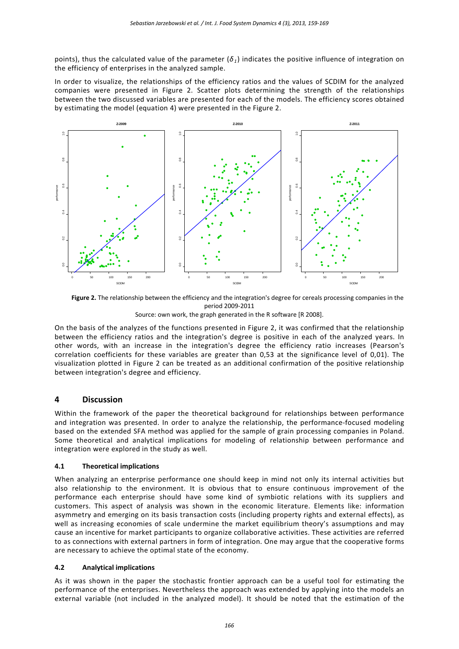points), thus the calculated value of the parameter (*δ1*) indicates the positive influence of integration on the efficiency of enterprises in the analyzed sample.

In order to visualize, the relationships of the efficiency ratios and the values of SCDIM for the analyzed companies were presented in Figure 2. Scatter plots determining the strength of the relationships between the two discussed variables are presented for each of the models. The efficiency scores obtained by estimating the model (equation 4) were presented in the Figure 2.



**Figure 2.** The relationship between the efficiency and the integration's degree for cereals processing companies in the period 2009-2011 Source: own work, the graph generated in the R software [R 2008].

On the basis of the analyzes of the functions presented in Figure 2, it was confirmed that the relationship between the efficiency ratios and the integration's degree is positive in each of the analyzed years. In other words, with an increase in the integration's degree the efficiency ratio increases (Pearson's correlation coefficients for these variables are greater than 0,53 at the significance level of 0,01). The visualization plotted in Figure 2 can be treated as an additional confirmation of the positive relationship between integration's degree and efficiency.

### **4 Discussion**

Within the framework of the paper the theoretical background for relationships between performance and integration was presented. In order to analyze the relationship, the performance-focused modeling based on the extended SFA method was applied for the sample of grain processing companies in Poland. Some theoretical and analytical implications for modeling of relationship between performance and integration were explored in the study as well.

#### **4.1 Theoretical implications**

When analyzing an enterprise performance one should keep in mind not only its internal activities but also relationship to the environment. It is obvious that to ensure continuous improvement of the performance each enterprise should have some kind of symbiotic relations with its suppliers and customers. This aspect of analysis was shown in the economic literature. Elements like: information asymmetry and emerging on its basis transaction costs (including property rights and external effects), as well as increasing economies of scale undermine the market equilibrium theory's assumptions and may cause an incentive for market participants to organize collaborative activities. These activities are referred to as connections with external partners in form of integration. One may argue that the cooperative forms are necessary to achieve the optimal state of the economy.

#### **4.2 Analytical implications**

As it was shown in the paper the stochastic frontier approach can be a useful tool for estimating the performance of the enterprises. Nevertheless the approach was extended by applying into the models an external variable (not included in the analyzed model). It should be noted that the estimation of the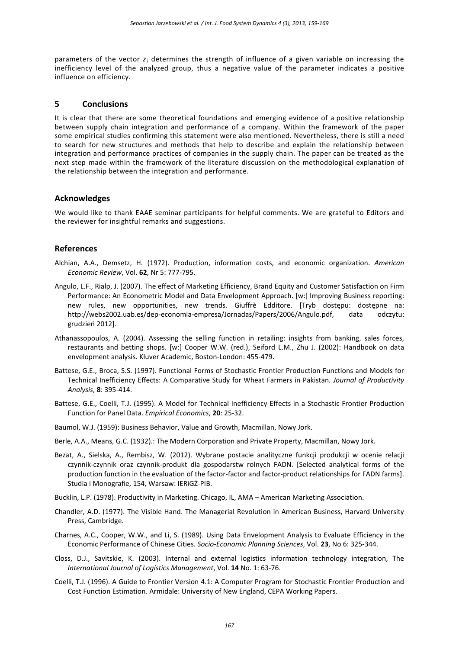parameters of the vector *zi* determines the strength of influence of a given variable on increasing the inefficiency level of the analyzed group, thus a negative value of the parameter indicates a positive influence on efficiency.

#### **5 Conclusions**

It is clear that there are some theoretical foundations and emerging evidence of a positive relationship between supply chain integration and performance of a company. Within the framework of the paper some empirical studies confirming this statement were also mentioned. Nevertheless, there is still a need to search for new structures and methods that help to describe and explain the relationship between integration and performance practices of companies in the supply chain. The paper can be treated as the next step made within the framework of the literature discussion on the methodological explanation of the relationship between the integration and performance.

#### **Acknowledges**

We would like to thank EAAE seminar participants for helpful comments. We are grateful to Editors and the reviewer for insightful remarks and suggestions.

### **References**

- Alchian, A.A., Demsetz, H. (1972). Production, information costs, and economic organization. *American Economic Review*, Vol. **62**, Nr 5: 777-795.
- Angulo, L.F., Rialp, J. (2007). The effect of Marketing Efficiency, Brand Equity and Customer Satisfaction on Firm Performance: An Econometric Model and Data Envelopment Approach. [w:] Improving Business reporting: new rules, new opportunities, new trends. Giuffrè Edditore. [Tryb dostępu: dostępne na: http://webs2002.uab.es/dep-economia-empresa/Jornadas/Papers/2006/Angulo.pdf, data odczytu: grudzień 2012].
- Athanassopoulos, A. (2004). Assessing the selling function in retailing: insights from banking, sales forces, restaurants and betting shops. [w:] Cooper W.W. (red.), Seiford L.M., Zhu J. (2002): Handbook on data envelopment analysis. Kluver Academic, Boston-London: 455-479.
- Battese, G.E., Broca, S.S. (1997). Functional Forms of Stochastic Frontier Production Functions and Models for Technical Inefficiency Effects: A Comparative Study for Wheat Farmers in Pakistan*. Journal of Productivity Analysis*, **8**: 395-414.
- Battese, G.E., Coelli, T.J. (1995). A Model for Technical Inefficiency Effects in a Stochastic Frontier Production Function for Panel Data. *Empirical Economics*, **20**: 25-32.
- Baumol, W.J. (1959): Business Behavior, Value and Growth, Macmillan, Nowy Jork.
- Berle, A.A., Means, G.C. (1932).: The Modern Corporation and Private Property, Macmillan, Nowy Jork.
- Bezat, A., Sielska, A., Rembisz, W. (2012). Wybrane postacie analityczne funkcji produkcji w ocenie relacji czynnik-czynnik oraz czynnik-produkt dla gospodarstw rolnych FADN. [Selected analytical forms of the production function in the evaluation of the factor-factor and factor-product relationships for FADN farms]. Studia i Monografie, 154, Warsaw: IERiGŻ-PIB.
- Bucklin, L.P. (1978). Productivity in Marketing. Chicago, IL, AMA American Marketing Association.
- Chandler, A.D. (1977). The Visible Hand. The Managerial Revolution in American Business, Harvard University Press, Cambridge.
- Charnes, A.C., Cooper, W.W., and Li, S. (1989). Using Data Envelopment Analysis to Evaluate Efficiency in the Economic Performance of Chinese Cities. *Socio-Economic Planning Sciences*, Vol. **23**, No 6: 325-344.
- Closs, D.J., Savitskie, K. (2003). Internal and external logistics information technology integration, The *International Journal of Logistics Management*, Vol. **14** No. 1: 63-76.
- Coelli, T.J. (1996). A Guide to Frontier Version 4.1: A Computer Program for Stochastic Frontier Production and Cost Function Estimation. Armidale: University of New England, CEPA Working Papers.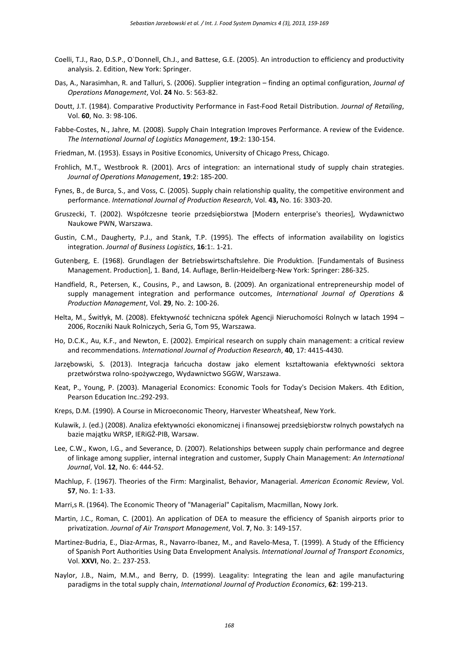- Coelli, T.J., Rao, D.S.P., O`Donnell, Ch.J., and Battese, G.E. (2005). An introduction to efficiency and productivity analysis. 2. Edition, New York: Springer.
- Das, A., Narasimhan, R. and Talluri, S. (2006). Supplier integration finding an optimal configuration, *Journal of Operations Management*, Vol. **24** No. 5: 563-82.
- Doutt, J.T. (1984). Comparative Productivity Performance in Fast-Food Retail Distribution. *Journal of Retailing*, Vol. **60**, No. 3: 98-106.
- Fabbe-Costes, N., Jahre, M. (2008). Supply Chain Integration Improves Performance. A review of the Evidence. *The International Journal of Logistics Management*, **19**:2: 130-154.
- Friedman, M. (1953). Essays in Positive Economics, University of Chicago Press, Chicago.
- Frohlich, M.T., Westbrook R. (2001). Arcs of integration: an international study of supply chain strategies. *Journal of Operations Management*, **19**:2: 185-200.
- Fynes, B., de Burca, S., and Voss, C. (2005). Supply chain relationship quality, the competitive environment and performance. *International Journal of Production Research*, Vol. **43,** No. 16: 3303-20.
- Gruszecki, T. (2002). Współczesne teorie przedsiębiorstwa [Modern enterprise's theories], Wydawnictwo Naukowe PWN, Warszawa.
- Gustin, C.M., Daugherty, P.J., and Stank, T.P. (1995). The effects of information availability on logistics integration. *Journal of Business Logistics*, **16**:1:. 1-21.
- Gutenberg, E. (1968). Grundlagen der Betriebswirtschaftslehre. Die Produktion. [Fundamentals of Business Management. Production], 1. Band, 14. Auflage, Berlin-Heidelberg-New York: Springer: 286-325.
- Handfield, R., Petersen, K., Cousins, P., and Lawson, B. (2009). An organizational entrepreneurship model of supply management integration and performance outcomes, *International Journal of Operations & Production Management*, Vol. **29**, No. 2: 100-26.
- Helta, M., Świtłyk, M. (2008). Efektywność techniczna spółek Agencji Nieruchomości Rolnych w latach 1994 2006, Roczniki Nauk Rolniczych, Seria G, Tom 95, Warszawa.
- Ho, D.C.K., Au, K.F., and Newton, E. (2002). Empirical research on supply chain management: a critical review and recommendations. *International Journal of Production Research*, **40**, 17: 4415-4430.
- Jarzębowski, S. (2013). Integracja łańcucha dostaw jako element kształtowania efektywności sektora przetwórstwa rolno-spożywczego, Wydawnictwo SGGW, Warszawa.
- Keat, P., Young, P. (2003). Managerial Economics: Economic Tools for Today's Decision Makers. 4th Edition, Pearson Education Inc.:292-293.
- Kreps, D.M. (1990). A Course in Microeconomic Theory, Harvester Wheatsheaf, New York.
- Kulawik, J. (ed.) (2008). Analiza efektywności ekonomicznej i finansowej przedsiębiorstw rolnych powstałych na bazie majątku WRSP, IERiGŻ-PIB, Warsaw.
- Lee, C.W., Kwon, I.G., and Severance, D. (2007). Relationships between supply chain performance and degree of linkage among supplier, internal integration and customer, Supply Chain Management: *An International Journal*, Vol. **12**, No. 6: 444-52.
- Machlup, F. (1967). Theories of the Firm: Marginalist, Behavior, Managerial. *American Economic Review*, Vol. **57**, No. 1: 1-33.
- Marri,s R. (1964). The Economic Theory of "Managerial" Capitalism, Macmillan, Nowy Jork.
- Martin, J.C., Roman, C. (2001). An application of DEA to measure the efficiency of Spanish airports prior to privatization. *Journal of Air Transport Management*, Vol. **7**, No. 3: 149-157.
- Martinez-Budria, E., Diaz-Armas, R., Navarro-Ibanez, M., and Ravelo-Mesa, T. (1999). A Study of the Efficiency of Spanish Port Authorities Using Data Envelopment Analysis. *International Journal of Transport Economics*, Vol. **XXVI**, No. 2:. 237-253.
- Naylor, J.B., Naim, M.M., and Berry, D. (1999). Leagality: Integrating the lean and agile manufacturing paradigms in the total supply chain, *International Journal of Production Economics*, **62**: 199-213.